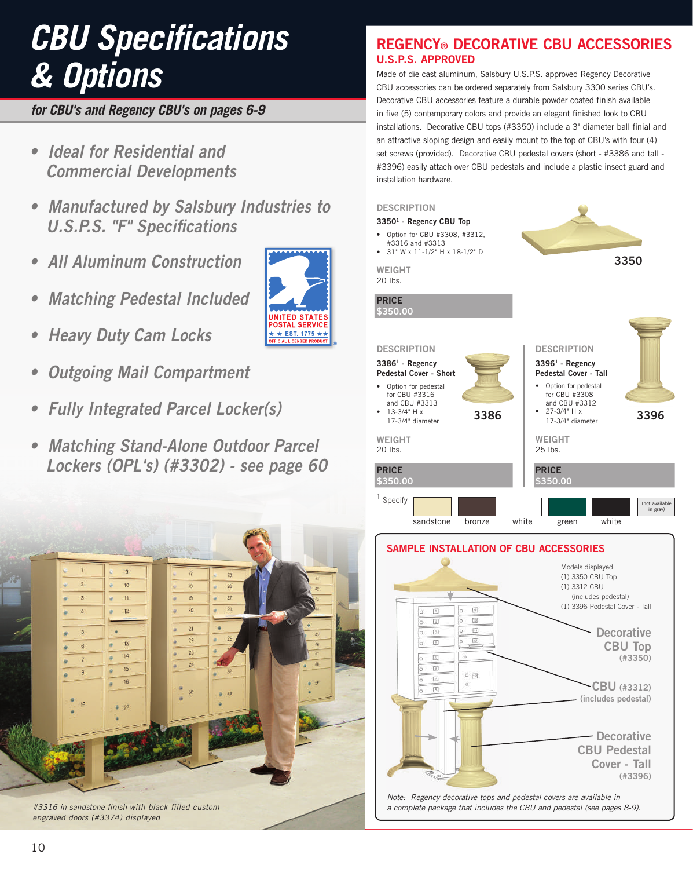# *CBU Specifications & Options*

*for CBU's and Regency CBU's on pages 6-9*

- **Ideal for Residential and Commercial Developments**
- **Manufactured by Salsbury Industries to U.S.P.S. "F" Specifications**
- **All Aluminum Construction**
- **Matching Pedestal Included**
- **Heavy Duty Cam Locks**
- **Outgoing Mail Compartment**
- **Fully Integrated Parcel Locker(s)**
- **Matching Stand-Alone Outdoor Parcel Lockers (OPL's) (#3302) - see page 60**



*#3316 in sandstone finish with black filled custom engraved doors (#3374) displayed*



## **REGENCY® DECORATIVE CBU ACCESSORIES U.S.P.S. APPROVED**

Made of die cast aluminum, Salsbury U.S.P.S. approved Regency Decorative CBU accessories can be ordered separately from Salsbury 3300 series CBU's. Decorative CBU accessories feature a durable powder coated finish available in five (5) contemporary colors and provide an elegant finished look to CBU installations. Decorative CBU tops (#3350) include a 3" diameter ball finial and an attractive sloping design and easily mount to the top of CBU's with four (4) set screws (provided). Decorative CBU pedestal covers (short - #3386 and tall - #3396) easily attach over CBU pedestals and include a plastic insect guard and installation hardware.





10